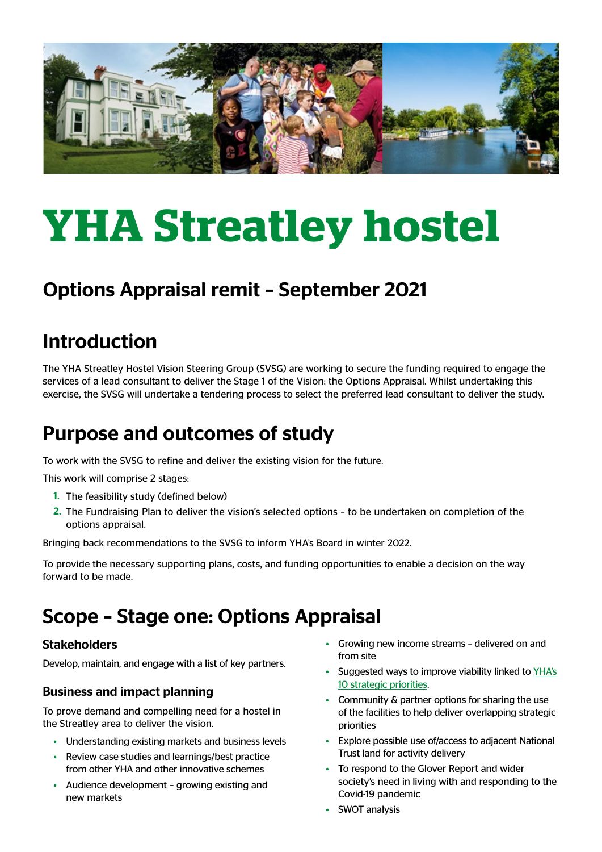

# **YHA Streatley hostel**

## Options Appraisal remit – September 2021

## Introduction

The YHA Streatley Hostel Vision Steering Group (SVSG) are working to secure the funding required to engage the services of a lead consultant to deliver the Stage 1 of the Vision: the Options Appraisal. Whilst undertaking this exercise, the SVSG will undertake a tendering process to select the preferred lead consultant to deliver the study.

## Purpose and outcomes of study

To work with the SVSG to refine and deliver the existing vision for the future.

This work will comprise 2 stages:

- 1. The feasibility study (defined below)
- 2. The Fundraising Plan to deliver the vision's selected options to be undertaken on completion of the options appraisal.

Bringing back recommendations to the SVSG to inform YHA's Board in winter 2022.

To provide the necessary supporting plans, costs, and funding opportunities to enable a decision on the way forward to be made.

## Scope – Stage one: Options Appraisal

#### Stakeholders

Develop, maintain, and engage with a list of key partners.

#### Business and impact planning

To prove demand and compelling need for a hostel in the Streatley area to deliver the vision.

- Understanding existing markets and business levels
- Review case studies and learnings/best practice from other YHA and other innovative schemes
- Audience development growing existing and new markets
- Growing new income streams delivered on and from site
- Suggested ways to improve viability linked to [YHA's](https://www.yha.org.uk/about-yha/yha-10-year-strategy)  [10 strategic priorities.](https://www.yha.org.uk/about-yha/yha-10-year-strategy)
- Community & partner options for sharing the use of the facilities to help deliver overlapping strategic priorities
- Explore possible use of/access to adjacent National Trust land for activity delivery
- To respond to the Glover Report and wider society's need in living with and responding to the Covid-19 pandemic
- SWOT analysis